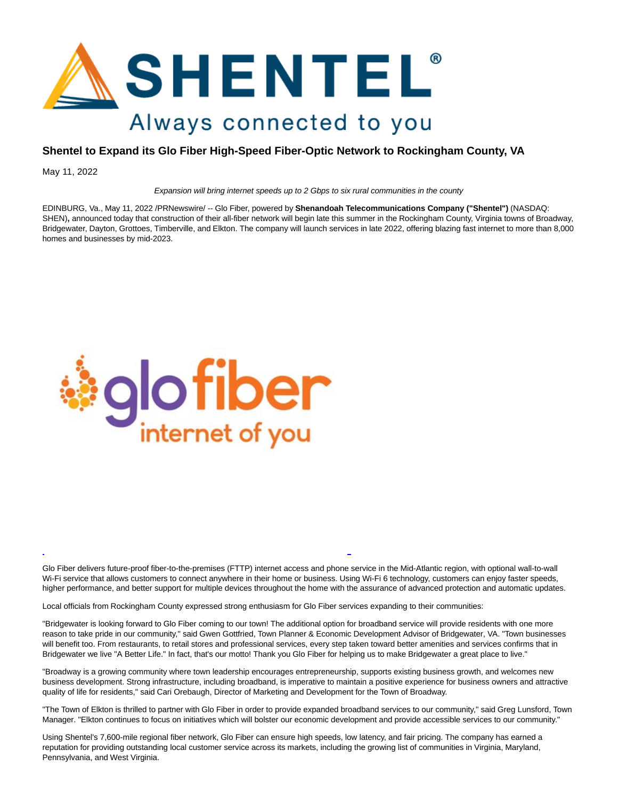

## **Shentel to Expand its Glo Fiber High-Speed Fiber-Optic Network to Rockingham County, VA**

May 11, 2022

Expansion will bring internet speeds up to 2 Gbps to six rural communities in the county

EDINBURG, Va., May 11, 2022 /PRNewswire/ -- Glo Fiber, powered by **Shenandoah Telecommunications Company ("Shentel")** (NASDAQ: SHEN), announced today that construction of their all-fiber network will begin late this summer in the Rockingham County, Virginia towns of Broadway, Bridgewater, Dayton, Grottoes, Timberville, and Elkton. The company will launch services in late 2022, offering blazing fast internet to more than 8,000 homes and businesses by mid-2023.



Glo Fiber delivers future-proof fiber-to-the-premises (FTTP) internet access and phone service in the Mid-Atlantic region, with optional wall-to-wall Wi-Fi service that allows customers to connect anywhere in their home or business. Using Wi-Fi 6 technology, customers can enjoy faster speeds, higher performance, and better support for multiple devices throughout the home with the assurance of advanced protection and automatic updates.

 $\overline{a}$ 

Local officials from Rockingham County expressed strong enthusiasm for Glo Fiber services expanding to their communities:

"Bridgewater is looking forward to Glo Fiber coming to our town! The additional option for broadband service will provide residents with one more reason to take pride in our community," said Gwen Gottfried, Town Planner & Economic Development Advisor of Bridgewater, VA. "Town businesses will benefit too. From restaurants, to retail stores and professional services, every step taken toward better amenities and services confirms that in Bridgewater we live "A Better Life." In fact, that's our motto! Thank you Glo Fiber for helping us to make Bridgewater a great place to live."

"Broadway is a growing community where town leadership encourages entrepreneurship, supports existing business growth, and welcomes new business development. Strong infrastructure, including broadband, is imperative to maintain a positive experience for business owners and attractive quality of life for residents," said Cari Orebaugh, Director of Marketing and Development for the Town of Broadway.

"The Town of Elkton is thrilled to partner with Glo Fiber in order to provide expanded broadband services to our community," said Greg Lunsford, Town Manager. "Elkton continues to focus on initiatives which will bolster our economic development and provide accessible services to our community."

Using Shentel's 7,600-mile regional fiber network, Glo Fiber can ensure high speeds, low latency, and fair pricing. The company has earned a reputation for providing outstanding local customer service across its markets, including the growing list of communities in Virginia, Maryland, Pennsylvania, and West Virginia.